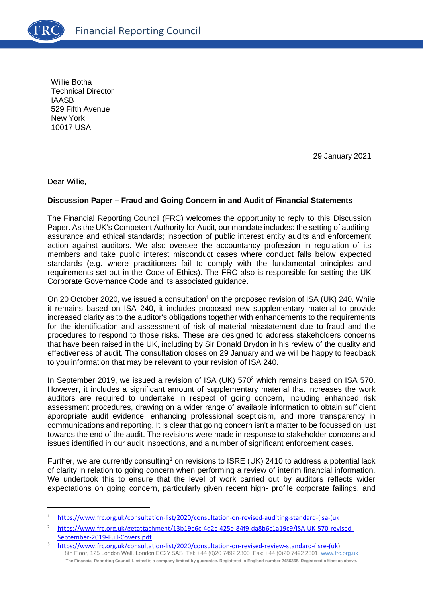Willie Botha Technical Director IAASB 529 Fifth Avenue New York 10017 USA

29 January 2021

Dear Willie,

# **Discussion Paper – Fraud and Going Concern in and Audit of Financial Statements**

The Financial Reporting Council (FRC) welcomes the opportunity to reply to this Discussion Paper. As the UK's Competent Authority for Audit, our mandate includes: the setting of auditing, assurance and ethical standards; inspection of public interest entity audits and enforcement action against auditors. We also oversee the accountancy profession in regulation of its members and take public interest misconduct cases where conduct falls below expected standards (e.g. where practitioners fail to comply with the fundamental principles and requirements set out in the Code of Ethics). The FRC also is responsible for setting the UK Corporate Governance Code and its associated guidance.

On 20 October 2020, we issued a consultation<sup>1</sup> on the proposed revision of ISA (UK) 240. While it remains based on ISA 240, it includes proposed new supplementary material to provide increased clarity as to the auditor's obligations together with enhancements to the requirements for the identification and assessment of risk of material misstatement due to fraud and the procedures to respond to those risks. These are designed to address stakeholders concerns that have been raised in the UK, including by Sir Donald Brydon in his review of the quality and effectiveness of audit. The consultation closes on 29 January and we will be happy to feedback to you information that may be relevant to your revision of ISA 240.

In September 2019, we issued a revision of ISA (UK)  $570<sup>2</sup>$  which remains based on ISA 570. However, it includes a significant amount of supplementary material that increases the work auditors are required to undertake in respect of going concern, including enhanced risk assessment procedures, drawing on a wider range of available information to obtain sufficient appropriate audit evidence, enhancing professional scepticism, and more transparency in communications and reporting. It is clear that going concern isn't a matter to be focussed on just towards the end of the audit. The revisions were made in response to stakeholder concerns and issues identified in our audit inspections, and a number of significant enforcement cases.

Further, we are currently consulting<sup>3</sup> on revisions to ISRE (UK) 2410 to address a potential lack of clarity in relation to going concern when performing a review of interim financial information. We undertook this to ensure that the level of work carried out by auditors reflects wider expectations on going concern, particularly given recent high- profile corporate failings, and

<sup>1</sup> [https://www.frc.org.uk/consultation-list/2020/consultation-on-revised-auditing-standard-\(isa-\(uk](https://www.frc.org.uk/consultation-list/2020/consultation-on-revised-auditing-standard-(isa-(uk) 

<sup>2</sup> [https://www.frc.org.uk/getattachment/13b19e6c-4d2c-425e-84f9-da8b6c1a19c9/ISA-UK-570-revised-](https://www.frc.org.uk/getattachment/13b19e6c-4d2c-425e-84f9-da8b6c1a19c9/ISA-UK-570-revised-September-2019-Full-Covers.pdf)[September-2019-Full-Covers.pdf](https://www.frc.org.uk/getattachment/13b19e6c-4d2c-425e-84f9-da8b6c1a19c9/ISA-UK-570-revised-September-2019-Full-Covers.pdf) 

<sup>8</sup>th Floor, 125 London Wall, London EC2Y 5AS Tel: +44 (0)20 7492 2300 Fax: +44 (0)20 7492 2301 [www.frc.org.uk](http://www.frc.org.uk/) **The Financial Reporting Council Limited is a company limited by guarantee. Registered in England number 2486368. Registered office: as above.** 3 [https://www.frc.org.uk/consultation-list/2020/consultation-on-revised-review-standard-\(isre-\(uk\)](https://www.frc.org.uk/consultation-list/2020/consultation-on-revised-review-standard-(isre-(uk)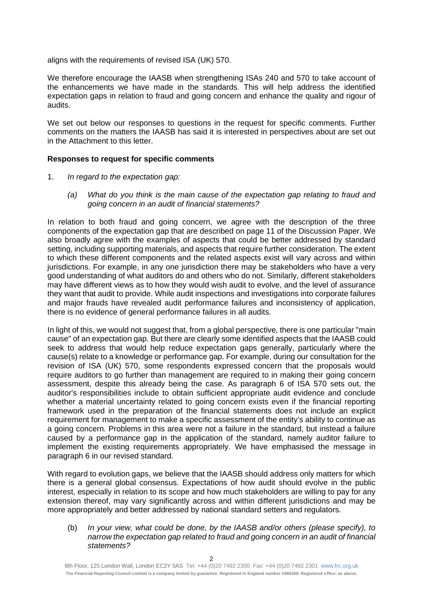aligns with the requirements of revised ISA (UK) 570.

We therefore encourage the IAASB when strengthening ISAs 240 and 570 to take account of the enhancements we have made in the standards. This will help address the identified expectation gaps in relation to fraud and going concern and enhance the quality and rigour of audits.

We set out below our responses to questions in the request for specific comments. Further comments on the matters the IAASB has said it is interested in perspectives about are set out in the Attachment to this letter.

# **Responses to request for specific comments**

- 1. *In regard to the expectation gap:* 
	- *(a) What do you think is the main cause of the expectation gap relating to fraud and going concern in an audit of financial statements?*

In relation to both fraud and going concern, we agree with the description of the three components of the expectation gap that are described on page 11 of the Discussion Paper. We also broadly agree with the examples of aspects that could be better addressed by standard setting, including supporting materials, and aspects that require further consideration. The extent to which these different components and the related aspects exist will vary across and within jurisdictions. For example, in any one jurisdiction there may be stakeholders who have a very good understanding of what auditors do and others who do not. Similarly, different stakeholders may have different views as to how they would wish audit to evolve, and the level of assurance they want that audit to provide. While audit inspections and investigations into corporate failures and major frauds have revealed audit performance failures and inconsistency of application, there is no evidence of general performance failures in all audits.

In light of this, we would not suggest that, from a global perspective, there is one particular "main cause" of an expectation gap. But there are clearly some identified aspects that the IAASB could seek to address that would help reduce expectation gaps generally, particularly where the cause(s) relate to a knowledge or performance gap. For example, during our consultation for the revision of ISA (UK) 570, some respondents expressed concern that the proposals would require auditors to go further than management are required to in making their going concern assessment, despite this already being the case. As paragraph 6 of ISA 570 sets out, the auditor's responsibilities include to obtain sufficient appropriate audit evidence and conclude whether a material uncertainty related to going concern exists even if the financial reporting framework used in the preparation of the financial statements does not include an explicit requirement for management to make a specific assessment of the entity's ability to continue as a going concern. Problems in this area were not a failure in the standard, but instead a failure caused by a performance gap in the application of the standard, namely auditor failure to implement the existing requirements appropriately. We have emphasised the message in paragraph 6 in our revised standard.

With regard to evolution gaps, we believe that the IAASB should address only matters for which there is a general global consensus. Expectations of how audit should evolve in the public interest, especially in relation to its scope and how much stakeholders are willing to pay for any extension thereof, may vary significantly across and within different jurisdictions and may be more appropriately and better addressed by national standard setters and regulators.

## (b) *In your view, what could be done, by the IAASB and/or others (please specify), to narrow the expectation gap related to fraud and going concern in an audit of financial statements?*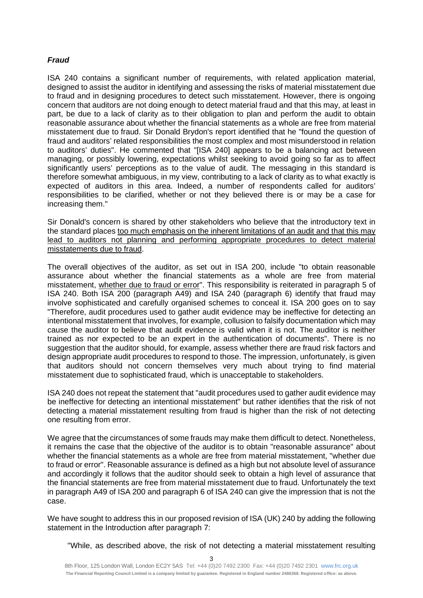## *Fraud*

ISA 240 contains a significant number of requirements, with related application material, designed to assist the auditor in identifying and assessing the risks of material misstatement due to fraud and in designing procedures to detect such misstatement. However, there is ongoing concern that auditors are not doing enough to detect material fraud and that this may, at least in part, be due to a lack of clarity as to their obligation to plan and perform the audit to obtain reasonable assurance about whether the financial statements as a whole are free from material misstatement due to fraud. Sir Donald Brydon's report identified that he "found the question of fraud and auditors' related responsibilities the most complex and most misunderstood in relation to auditors' duties". He commented that "[ISA 240] appears to be a balancing act between managing, or possibly lowering, expectations whilst seeking to avoid going so far as to affect significantly users' perceptions as to the value of audit. The messaging in this standard is therefore somewhat ambiguous, in my view, contributing to a lack of clarity as to what exactly is expected of auditors in this area. Indeed, a number of respondents called for auditors' responsibilities to be clarified, whether or not they believed there is or may be a case for increasing them."

Sir Donald's concern is shared by other stakeholders who believe that the introductory text in the standard places too much emphasis on the inherent limitations of an audit and that this may lead to auditors not planning and performing appropriate procedures to detect material misstatements due to fraud.

The overall objectives of the auditor, as set out in ISA 200, include "to obtain reasonable assurance about whether the financial statements as a whole are free from material misstatement, whether due to fraud or error". This responsibility is reiterated in paragraph 5 of ISA 240. Both ISA 200 (paragraph A49) and ISA 240 (paragraph 6) identify that fraud may involve sophisticated and carefully organised schemes to conceal it. ISA 200 goes on to say "Therefore, audit procedures used to gather audit evidence may be ineffective for detecting an intentional misstatement that involves, for example, collusion to falsify documentation which may cause the auditor to believe that audit evidence is valid when it is not. The auditor is neither trained as nor expected to be an expert in the authentication of documents". There is no suggestion that the auditor should, for example, assess whether there are fraud risk factors and design appropriate audit procedures to respond to those. The impression, unfortunately, is given that auditors should not concern themselves very much about trying to find material misstatement due to sophisticated fraud, which is unacceptable to stakeholders.

ISA 240 does not repeat the statement that "audit procedures used to gather audit evidence may be ineffective for detecting an intentional misstatement" but rather identifies that the risk of not detecting a material misstatement resulting from fraud is higher than the risk of not detecting one resulting from error.

We agree that the circumstances of some frauds may make them difficult to detect. Nonetheless, it remains the case that the objective of the auditor is to obtain "reasonable assurance" about whether the financial statements as a whole are free from material misstatement, "whether due to fraud or error". Reasonable assurance is defined as a high but not absolute level of assurance and accordingly it follows that the auditor should seek to obtain a high level of assurance that the financial statements are free from material misstatement due to fraud. Unfortunately the text in paragraph A49 of ISA 200 and paragraph 6 of ISA 240 can give the impression that is not the case.

We have sought to address this in our proposed revision of ISA (UK) 240 by adding the following statement in the Introduction after paragraph 7:

"While, as described above, the risk of not detecting a material misstatement resulting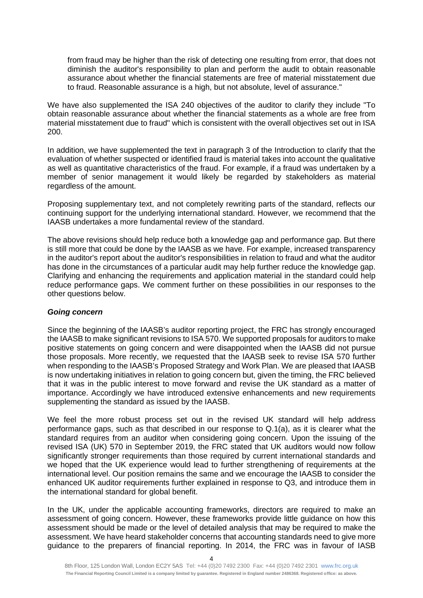from fraud may be higher than the risk of detecting one resulting from error, that does not diminish the auditor's responsibility to plan and perform the audit to obtain reasonable assurance about whether the financial statements are free of material misstatement due to fraud. Reasonable assurance is a high, but not absolute, level of assurance."

We have also supplemented the ISA 240 objectives of the auditor to clarify they include "To obtain reasonable assurance about whether the financial statements as a whole are free from material misstatement due to fraud" which is consistent with the overall objectives set out in ISA 200.

In addition, we have supplemented the text in paragraph 3 of the Introduction to clarify that the evaluation of whether suspected or identified fraud is material takes into account the qualitative as well as quantitative characteristics of the fraud. For example, if a fraud was undertaken by a member of senior management it would likely be regarded by stakeholders as material regardless of the amount.

Proposing supplementary text, and not completely rewriting parts of the standard, reflects our continuing support for the underlying international standard. However, we recommend that the IAASB undertakes a more fundamental review of the standard.

The above revisions should help reduce both a knowledge gap and performance gap. But there is still more that could be done by the IAASB as we have. For example, increased transparency in the auditor's report about the auditor's responsibilities in relation to fraud and what the auditor has done in the circumstances of a particular audit may help further reduce the knowledge gap. Clarifying and enhancing the requirements and application material in the standard could help reduce performance gaps. We comment further on these possibilities in our responses to the other questions below.

#### *Going concern*

Since the beginning of the IAASB's auditor reporting project, the FRC has strongly encouraged the IAASB to make significant revisions to ISA 570. We supported proposals for auditors to make positive statements on going concern and were disappointed when the IAASB did not pursue those proposals. More recently, we requested that the IAASB seek to revise ISA 570 further when responding to the IAASB's Proposed Strategy and Work Plan. We are pleased that IAASB is now undertaking initiatives in relation to going concern but, given the timing, the FRC believed that it was in the public interest to move forward and revise the UK standard as a matter of importance. Accordingly we have introduced extensive enhancements and new requirements supplementing the standard as issued by the IAASB.

We feel the more robust process set out in the revised UK standard will help address performance gaps, such as that described in our response to Q.1(a), as it is clearer what the standard requires from an auditor when considering going concern. Upon the issuing of the revised ISA (UK) 570 in September 2019, the FRC stated that UK auditors would now follow significantly stronger requirements than those required by current international standards and we hoped that the UK experience would lead to further strengthening of requirements at the international level. Our position remains the same and we encourage the IAASB to consider the enhanced UK auditor requirements further explained in response to Q3, and introduce them in the international standard for global benefit.

In the UK, under the applicable accounting frameworks, directors are required to make an assessment of going concern. However, these frameworks provide little guidance on how this assessment should be made or the level of detailed analysis that may be required to make the assessment. We have heard stakeholder concerns that accounting standards need to give more guidance to the preparers of financial reporting. In 2014, the FRC was in favour of IASB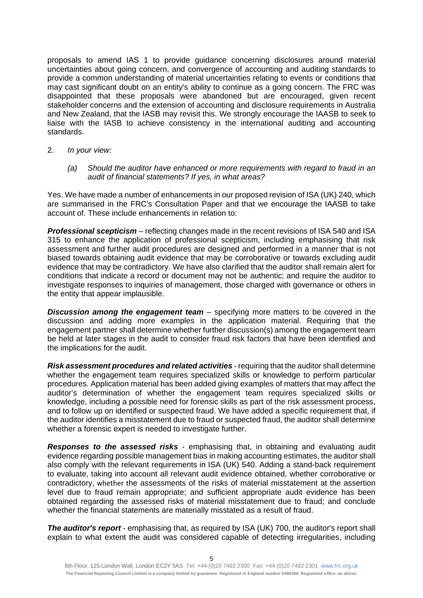proposals to amend IAS 1 to provide guidance concerning disclosures around material uncertainties about going concern, and convergence of accounting and auditing standards to provide a common understanding of material uncertainties relating to events or conditions that may cast significant doubt on an entity's ability to continue as a going concern. The FRC was disappointed that these proposals were abandoned but are encouraged, given recent stakeholder concerns and the extension of accounting and disclosure requirements in Australia and New Zealand, that the IASB may revisit this. We strongly encourage the IAASB to seek to liaise with the IASB to achieve consistency in the international auditing and accounting standards.

- 2. *In your view:* 
	- *(a) Should the auditor have enhanced or more requirements with regard to fraud in an audit of financial statements? If yes, in what areas?*

Yes. We have made a number of enhancements in our proposed revision of ISA (UK) 240, which are summarised in the FRC's Consultation Paper and that we encourage the IAASB to take account of. These include enhancements in relation to:

*Professional scepticism* – reflecting changes made in the recent revisions of ISA 540 and ISA 315 to enhance the application of professional scepticism, including emphasising that risk assessment and further audit procedures are designed and performed in a manner that is not biased towards obtaining audit evidence that may be corroborative or towards excluding audit evidence that may be contradictory. We have also clarified that the auditor shall remain alert for conditions that indicate a record or document may not be authentic; and require the auditor to investigate responses to inquiries of management, those charged with governance or others in the entity that appear implausible.

*Discussion among the engagement team* – specifying more matters to be covered in the discussion and adding more examples in the application material. Requiring that the engagement partner shall determine whether further discussion(s) among the engagement team be held at later stages in the audit to consider fraud risk factors that have been identified and the implications for the audit.

*Risk assessment procedures and related activities* - requiring that the auditor shall determine whether the engagement team requires specialized skills or knowledge to perform particular procedures. Application material has been added giving examples of matters that may affect the auditor's determination of whether the engagement team requires specialized skills or knowledge, including a possible need for forensic skills as part of the risk assessment process, and to follow up on identified or suspected fraud. We have added a specific requirement that, if the auditor identifies a misstatement due to fraud or suspected fraud, the auditor shall determine whether a forensic expert is needed to investigate further.

*Responses to the assessed risks* - emphasising that, in obtaining and evaluating audit evidence regarding possible management bias in making accounting estimates, the auditor shall also comply with the relevant requirements in ISA (UK) 540. Adding a stand-back requirement to evaluate, taking into account all relevant audit evidence obtained, whether corroborative or contradictory, whether the assessments of the risks of material misstatement at the assertion level due to fraud remain appropriate; and sufficient appropriate audit evidence has been obtained regarding the assessed risks of material misstatement due to fraud; and conclude whether the financial statements are materially misstated as a result of fraud.

*The auditor's report* - emphasising that, as required by ISA (UK) 700, the auditor's report shall explain to what extent the audit was considered capable of detecting irregularities, including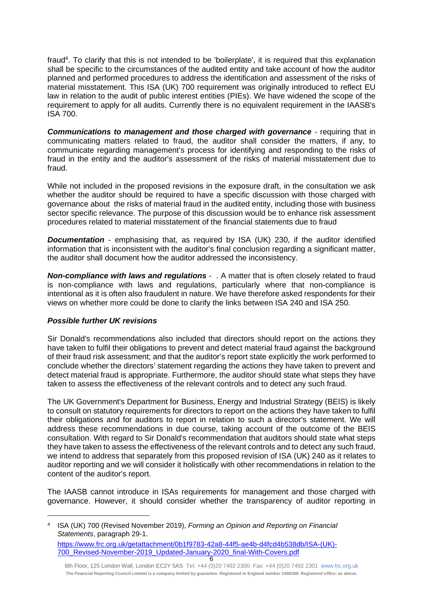fraud<sup>4</sup>. To clarify that this is not intended to be 'boilerplate', it is required that this explanation shall be specific to the circumstances of the audited entity and take account of how the auditor planned and performed procedures to address the identification and assessment of the risks of material misstatement. This ISA (UK) 700 requirement was originally introduced to reflect EU law in relation to the audit of public interest entities (PIEs). We have widened the scope of the requirement to apply for all audits. Currently there is no equivalent requirement in the IAASB's ISA 700.

*Communications to management and those charged with governance* - requiring that in communicating matters related to fraud, the auditor shall consider the matters, if any, to communicate regarding management's process for identifying and responding to the risks of fraud in the entity and the auditor's assessment of the risks of material misstatement due to fraud.

While not included in the proposed revisions in the exposure draft, in the consultation we ask whether the auditor should be required to have a specific discussion with those charged with governance about the risks of material fraud in the audited entity, including those with business sector specific relevance. The purpose of this discussion would be to enhance risk assessment procedures related to material misstatement of the financial statements due to fraud

**Documentation** - emphasising that, as required by ISA (UK) 230, if the auditor identified information that is inconsistent with the auditor's final conclusion regarding a significant matter, the auditor shall document how the auditor addressed the inconsistency.

*Non-compliance with laws and regulations* - . A matter that is often closely related to fraud is non-compliance with laws and regulations, particularly where that non-compliance is intentional as it is often also fraudulent in nature. We have therefore asked respondents for their views on whether more could be done to clarify the links between ISA 240 and ISA 250.

# *Possible further UK revisions*

Sir Donald's recommendations also included that directors should report on the actions they have taken to fulfil their obligations to prevent and detect material fraud against the background of their fraud risk assessment; and that the auditor's report state explicitly the work performed to conclude whether the directors' statement regarding the actions they have taken to prevent and detect material fraud is appropriate. Furthermore, the auditor should state what steps they have taken to assess the effectiveness of the relevant controls and to detect any such fraud.

The UK Government's Department for Business, Energy and Industrial Strategy (BEIS) is likely to consult on statutory requirements for directors to report on the actions they have taken to fulfil their obligations and for auditors to report in relation to such a director's statement. We will address these recommendations in due course, taking account of the outcome of the BEIS consultation. With regard to Sir Donald's recommendation that auditors should state what steps they have taken to assess the effectiveness of the relevant controls and to detect any such fraud, we intend to address that separately from this proposed revision of ISA (UK) 240 as it relates to auditor reporting and we will consider it holistically with other recommendations in relation to the content of the auditor's report.

The IAASB cannot introduce in ISAs requirements for management and those charged with governance. However, it should consider whether the transparency of auditor reporting in

4 ISA (UK) 700 (Revised November 2019), *Forming an Opinion and Reporting on Financial Statements*, paragraph 29-1. [https://www.frc.org.uk/getattachment/0b1f9783-42a8-44f5-ae4b-d4fcd4b538db/ISA-\(UK\)-](https://www.frc.org.uk/getattachment/0b1f9783-42a8-44f5-ae4b-d4fcd4b538db/ISA-(UK)-700_Revised-November-2019_Updated-January-2020_final-With-Covers.pdf) [700\\_Revised-November-2019\\_Updated-January-2020\\_final-With-Covers.pdf](https://www.frc.org.uk/getattachment/0b1f9783-42a8-44f5-ae4b-d4fcd4b538db/ISA-(UK)-700_Revised-November-2019_Updated-January-2020_final-With-Covers.pdf)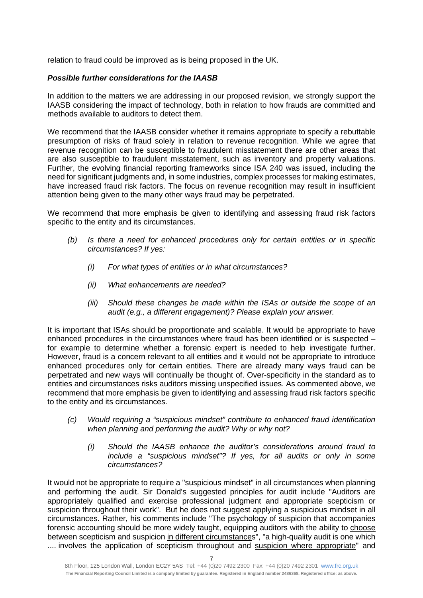relation to fraud could be improved as is being proposed in the UK.

## *Possible further considerations for the IAASB*

In addition to the matters we are addressing in our proposed revision, we strongly support the IAASB considering the impact of technology, both in relation to how frauds are committed and methods available to auditors to detect them.

We recommend that the IAASB consider whether it remains appropriate to specify a rebuttable presumption of risks of fraud solely in relation to revenue recognition. While we agree that revenue recognition can be susceptible to fraudulent misstatement there are other areas that are also susceptible to fraudulent misstatement, such as inventory and property valuations. Further, the evolving financial reporting frameworks since ISA 240 was issued, including the need for significant judgments and, in some industries, complex processes for making estimates, have increased fraud risk factors. The focus on revenue recognition may result in insufficient attention being given to the many other ways fraud may be perpetrated.

We recommend that more emphasis be given to identifying and assessing fraud risk factors specific to the entity and its circumstances.

- *(b) Is there a need for enhanced procedures only for certain entities or in specific circumstances? If yes:* 
	- *(i) For what types of entities or in what circumstances?*
	- *(ii) What enhancements are needed?*
	- *(iii) Should these changes be made within the ISAs or outside the scope of an audit (e.g., a different engagement)? Please explain your answer.*

It is important that ISAs should be proportionate and scalable. It would be appropriate to have enhanced procedures in the circumstances where fraud has been identified or is suspected – for example to determine whether a forensic expert is needed to help investigate further. However, fraud is a concern relevant to all entities and it would not be appropriate to introduce enhanced procedures only for certain entities. There are already many ways fraud can be perpetrated and new ways will continually be thought of. Over-specificity in the standard as to entities and circumstances risks auditors missing unspecified issues. As commented above, we recommend that more emphasis be given to identifying and assessing fraud risk factors specific to the entity and its circumstances.

- *(c) Would requiring a "suspicious mindset" contribute to enhanced fraud identification when planning and performing the audit? Why or why not?* 
	- *(i) Should the IAASB enhance the auditor's considerations around fraud to include a "suspicious mindset"? If yes, for all audits or only in some circumstances?*

It would not be appropriate to require a "suspicious mindset" in all circumstances when planning and performing the audit. Sir Donald's suggested principles for audit include "Auditors are appropriately qualified and exercise professional judgment and appropriate scepticism or suspicion throughout their work". But he does not suggest applying a suspicious mindset in all circumstances. Rather, his comments include "The psychology of suspicion that accompanies forensic accounting should be more widely taught, equipping auditors with the ability to choose between scepticism and suspicion in different circumstances", "a high-quality audit is one which .... involves the application of scepticism throughout and suspicion where appropriate" and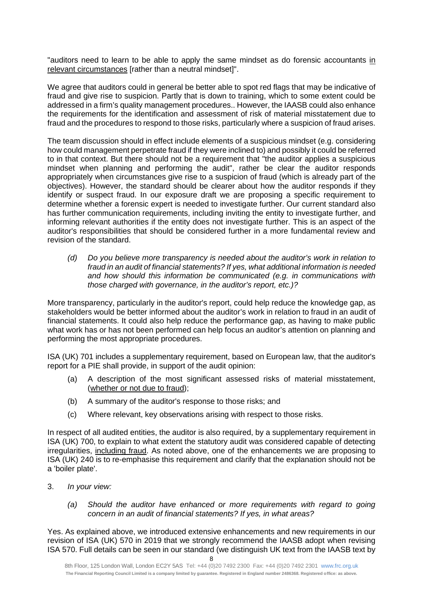"auditors need to learn to be able to apply the same mindset as do forensic accountants in relevant circumstances [rather than a neutral mindset]".

We agree that auditors could in general be better able to spot red flags that may be indicative of fraud and give rise to suspicion. Partly that is down to training, which to some extent could be addressed in a firm's quality management procedures.. However, the IAASB could also enhance the requirements for the identification and assessment of risk of material misstatement due to fraud and the procedures to respond to those risks, particularly where a suspicion of fraud arises.

The team discussion should in effect include elements of a suspicious mindset (e.g. considering how could management perpetrate fraud if they were inclined to) and possibly it could be referred to in that context. But there should not be a requirement that "the auditor applies a suspicious mindset when planning and performing the audit", rather be clear the auditor responds appropriately when circumstances give rise to a suspicion of fraud (which is already part of the objectives). However, the standard should be clearer about how the auditor responds if they identify or suspect fraud. In our exposure draft we are proposing a specific requirement to determine whether a forensic expert is needed to investigate further. Our current standard also has further communication requirements, including inviting the entity to investigate further, and informing relevant authorities if the entity does not investigate further. This is an aspect of the auditor's responsibilities that should be considered further in a more fundamental review and revision of the standard.

*(d) Do you believe more transparency is needed about the auditor's work in relation to fraud in an audit of financial statements? If yes, what additional information is needed and how should this information be communicated (e.g. in communications with those charged with governance, in the auditor's report, etc.)?* 

More transparency, particularly in the auditor's report, could help reduce the knowledge gap, as stakeholders would be better informed about the auditor's work in relation to fraud in an audit of financial statements. It could also help reduce the performance gap, as having to make public what work has or has not been performed can help focus an auditor's attention on planning and performing the most appropriate procedures.

ISA (UK) 701 includes a supplementary requirement, based on European law, that the auditor's report for a PIE shall provide, in support of the audit opinion:

- (a) A description of the most significant assessed risks of material misstatement, (whether or not due to fraud);
- (b) A summary of the auditor's response to those risks; and
- (c) Where relevant, key observations arising with respect to those risks.

In respect of all audited entities, the auditor is also required, by a supplementary requirement in ISA (UK) 700, to explain to what extent the statutory audit was considered capable of detecting irregularities, including fraud. As noted above, one of the enhancements we are proposing to ISA (UK) 240 is to re-emphasise this requirement and clarify that the explanation should not be a 'boiler plate'.

- 3. *In your view:* 
	- *(a) Should the auditor have enhanced or more requirements with regard to going concern in an audit of financial statements? If yes, in what areas?*

Yes. As explained above, we introduced extensive enhancements and new requirements in our revision of ISA (UK) 570 in 2019 that we strongly recommend the IAASB adopt when revising ISA 570. Full details can be seen in our standard (we distinguish UK text from the IAASB text by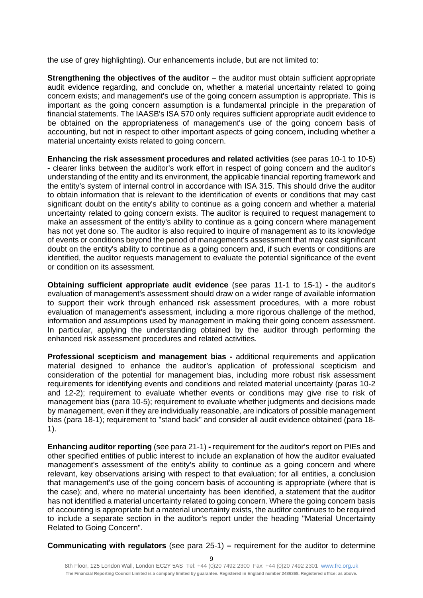the use of grey highlighting). Our enhancements include, but are not limited to:

**Strengthening the objectives of the auditor** – the auditor must obtain sufficient appropriate audit evidence regarding, and conclude on, whether a material uncertainty related to going concern exists; and management's use of the going concern assumption is appropriate. This is important as the going concern assumption is a fundamental principle in the preparation of financial statements. The IAASB's ISA 570 only requires sufficient appropriate audit evidence to be obtained on the appropriateness of management's use of the going concern basis of accounting, but not in respect to other important aspects of going concern, including whether a material uncertainty exists related to going concern.

**Enhancing the risk assessment procedures and related activities** (see paras 10-1 to 10-5) **-** clearer links between the auditor's work effort in respect of going concern and the auditor's understanding of the entity and its environment, the applicable financial reporting framework and the entity's system of internal control in accordance with ISA 315. This should drive the auditor to obtain information that is relevant to the identification of events or conditions that may cast significant doubt on the entity's ability to continue as a going concern and whether a material uncertainty related to going concern exists. The auditor is required to request management to make an assessment of the entity's ability to continue as a going concern where management has not yet done so. The auditor is also required to inquire of management as to its knowledge of events or conditions beyond the period of management's assessment that may cast significant doubt on the entity's ability to continue as a going concern and, if such events or conditions are identified, the auditor requests management to evaluate the potential significance of the event or condition on its assessment.

**Obtaining sufficient appropriate audit evidence** (see paras 11-1 to 15-1) **-** the auditor's evaluation of management's assessment should draw on a wider range of available information to support their work through enhanced risk assessment procedures, with a more robust evaluation of management's assessment, including a more rigorous challenge of the method, information and assumptions used by management in making their going concern assessment. In particular, applying the understanding obtained by the auditor through performing the enhanced risk assessment procedures and related activities.

**Professional scepticism and management bias -** additional requirements and application material designed to enhance the auditor's application of professional scepticism and consideration of the potential for management bias, including more robust risk assessment requirements for identifying events and conditions and related material uncertainty (paras 10-2 and 12-2); requirement to evaluate whether events or conditions may give rise to risk of management bias (para 10-5); requirement to evaluate whether judgments and decisions made by management, even if they are individually reasonable, are indicators of possible management bias (para 18-1); requirement to "stand back" and consider all audit evidence obtained (para 18- 1).

**Enhancing auditor reporting** (see para 21-1) **-** requirement for the auditor's report on PIEs and other specified entities of public interest to include an explanation of how the auditor evaluated management's assessment of the entity's ability to continue as a going concern and where relevant, key observations arising with respect to that evaluation; for all entities, a conclusion that management's use of the going concern basis of accounting is appropriate (where that is the case); and, where no material uncertainty has been identified, a statement that the auditor has not identified a material uncertainty related to going concern. Where the going concern basis of accounting is appropriate but a material uncertainty exists, the auditor continues to be required to include a separate section in the auditor's report under the heading "Material Uncertainty Related to Going Concern".

**Communicating with regulators** (see para 25-1) **–** requirement for the auditor to determine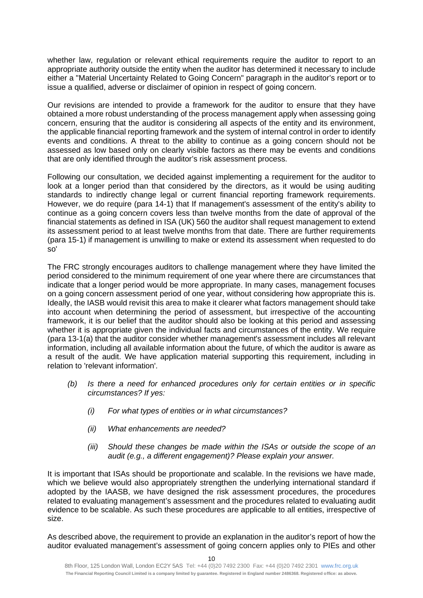whether law, regulation or relevant ethical requirements require the auditor to report to an appropriate authority outside the entity when the auditor has determined it necessary to include either a "Material Uncertainty Related to Going Concern" paragraph in the auditor's report or to issue a qualified, adverse or disclaimer of opinion in respect of going concern.

Our revisions are intended to provide a framework for the auditor to ensure that they have obtained a more robust understanding of the process management apply when assessing going concern, ensuring that the auditor is considering all aspects of the entity and its environment, the applicable financial reporting framework and the system of internal control in order to identify events and conditions. A threat to the ability to continue as a going concern should not be assessed as low based only on clearly visible factors as there may be events and conditions that are only identified through the auditor's risk assessment process.

Following our consultation, we decided against implementing a requirement for the auditor to look at a longer period than that considered by the directors, as it would be using auditing standards to indirectly change legal or current financial reporting framework requirements. However, we do require (para 14-1) that If management's assessment of the entity's ability to continue as a going concern covers less than twelve months from the date of approval of the financial statements as defined in ISA (UK) 560 the auditor shall request management to extend its assessment period to at least twelve months from that date. There are further requirements (para 15-1) if management is unwilling to make or extend its assessment when requested to do so'

The FRC strongly encourages auditors to challenge management where they have limited the period considered to the minimum requirement of one year where there are circumstances that indicate that a longer period would be more appropriate. In many cases, management focuses on a going concern assessment period of one year, without considering how appropriate this is. Ideally, the IASB would revisit this area to make it clearer what factors management should take into account when determining the period of assessment, but irrespective of the accounting framework, it is our belief that the auditor should also be looking at this period and assessing whether it is appropriate given the individual facts and circumstances of the entity. We require (para 13-1(a) that the auditor consider whether management's assessment includes all relevant information, including all available information about the future, of which the auditor is aware as a result of the audit. We have application material supporting this requirement, including in relation to 'relevant information'.

- *(b) Is there a need for enhanced procedures only for certain entities or in specific circumstances? If yes:* 
	- *(i) For what types of entities or in what circumstances?*
	- *(ii) What enhancements are needed?*
	- *(iii) Should these changes be made within the ISAs or outside the scope of an audit (e.g., a different engagement)? Please explain your answer.*

It is important that ISAs should be proportionate and scalable. In the revisions we have made, which we believe would also appropriately strengthen the underlying international standard if adopted by the IAASB, we have designed the risk assessment procedures, the procedures related to evaluating management's assessment and the procedures related to evaluating audit evidence to be scalable. As such these procedures are applicable to all entities, irrespective of size.

As described above, the requirement to provide an explanation in the auditor's report of how the auditor evaluated management's assessment of going concern applies only to PIEs and other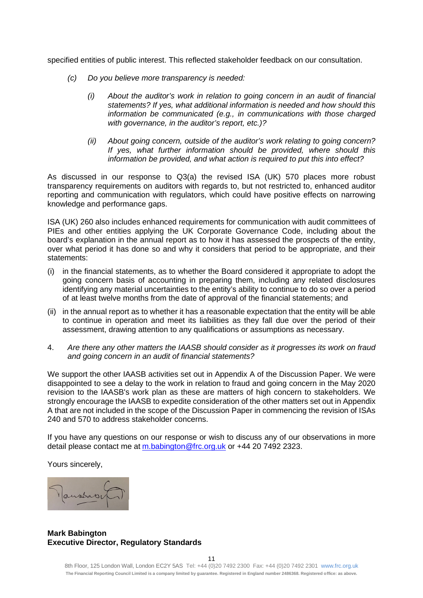specified entities of public interest. This reflected stakeholder feedback on our consultation.

- *(c) Do you believe more transparency is needed:* 
	- *(i) About the auditor's work in relation to going concern in an audit of financial statements? If yes, what additional information is needed and how should this information be communicated (e.g., in communications with those charged with governance, in the auditor's report, etc.)?*
	- *(ii) About going concern, outside of the auditor's work relating to going concern? If yes, what further information should be provided, where should this information be provided, and what action is required to put this into effect?*

As discussed in our response to Q3(a) the revised ISA (UK) 570 places more robust transparency requirements on auditors with regards to, but not restricted to, enhanced auditor reporting and communication with regulators, which could have positive effects on narrowing knowledge and performance gaps.

ISA (UK) 260 also includes enhanced requirements for communication with audit committees of PIEs and other entities applying the UK Corporate Governance Code, including about the board's explanation in the annual report as to how it has assessed the prospects of the entity, over what period it has done so and why it considers that period to be appropriate, and their statements:

- (i) in the financial statements, as to whether the Board considered it appropriate to adopt the going concern basis of accounting in preparing them, including any related disclosures identifying any material uncertainties to the entity's ability to continue to do so over a period of at least twelve months from the date of approval of the financial statements; and
- (ii) in the annual report as to whether it has a reasonable expectation that the entity will be able to continue in operation and meet its liabilities as they fall due over the period of their assessment, drawing attention to any qualifications or assumptions as necessary.
- 4. *Are there any other matters the IAASB should consider as it progresses its work on fraud and going concern in an audit of financial statements?*

We support the other IAASB activities set out in Appendix A of the Discussion Paper. We were disappointed to see a delay to the work in relation to fraud and going concern in the May 2020 revision to the IAASB's work plan as these are matters of high concern to stakeholders. We strongly encourage the IAASB to expedite consideration of the other matters set out in Appendix A that are not included in the scope of the Discussion Paper in commencing the revision of ISAs 240 and 570 to address stakeholder concerns.

If you have any questions on our response or wish to discuss any of our observations in more detail please contact me at [m.babington@frc.org.uk](mailto:m.babington@frc.org.uk) or +44 20 7492 2323.

Yours sincerely,



# **Mark Babington Executive Director, Regulatory Standards**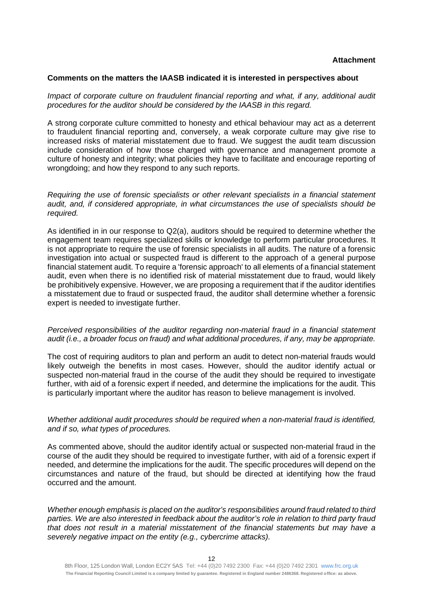#### **Comments on the matters the IAASB indicated it is interested in perspectives about**

*Impact of corporate culture on fraudulent financial reporting and what, if any, additional audit procedures for the auditor should be considered by the IAASB in this regard.* 

A strong corporate culture committed to honesty and ethical behaviour may act as a deterrent to fraudulent financial reporting and, conversely, a weak corporate culture may give rise to increased risks of material misstatement due to fraud. We suggest the audit team discussion include consideration of how those charged with governance and management promote a culture of honesty and integrity; what policies they have to facilitate and encourage reporting of wrongdoing; and how they respond to any such reports.

*Requiring the use of forensic specialists or other relevant specialists in a financial statement audit, and, if considered appropriate, in what circumstances the use of specialists should be required.* 

As identified in in our response to Q2(a), auditors should be required to determine whether the engagement team requires specialized skills or knowledge to perform particular procedures. It is not appropriate to require the use of forensic specialists in all audits. The nature of a forensic investigation into actual or suspected fraud is different to the approach of a general purpose financial statement audit. To require a 'forensic approach' to all elements of a financial statement audit, even when there is no identified risk of material misstatement due to fraud, would likely be prohibitively expensive. However, we are proposing a requirement that if the auditor identifies a misstatement due to fraud or suspected fraud, the auditor shall determine whether a forensic expert is needed to investigate further.

#### *Perceived responsibilities of the auditor regarding non-material fraud in a financial statement audit (i.e., a broader focus on fraud) and what additional procedures, if any, may be appropriate.*

The cost of requiring auditors to plan and perform an audit to detect non-material frauds would likely outweigh the benefits in most cases. However, should the auditor identify actual or suspected non-material fraud in the course of the audit they should be required to investigate further, with aid of a forensic expert if needed, and determine the implications for the audit. This is particularly important where the auditor has reason to believe management is involved.

## *Whether additional audit procedures should be required when a non-material fraud is identified, and if so, what types of procedures.*

As commented above, should the auditor identify actual or suspected non-material fraud in the course of the audit they should be required to investigate further, with aid of a forensic expert if needed, and determine the implications for the audit. The specific procedures will depend on the circumstances and nature of the fraud, but should be directed at identifying how the fraud occurred and the amount.

*Whether enough emphasis is placed on the auditor's responsibilities around fraud related to third parties. We are also interested in feedback about the auditor's role in relation to third party fraud that does not result in a material misstatement of the financial statements but may have a severely negative impact on the entity (e.g., cybercrime attacks).*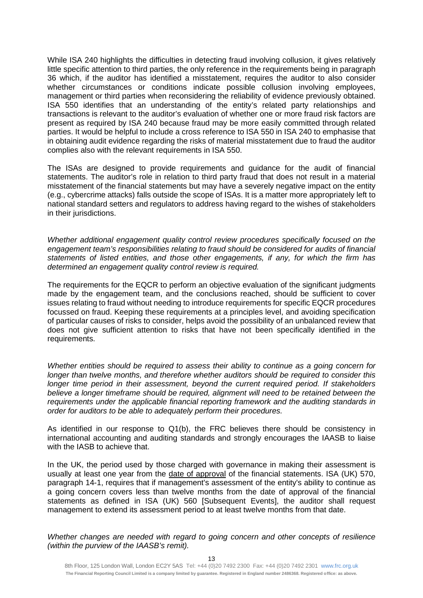While ISA 240 highlights the difficulties in detecting fraud involving collusion, it gives relatively little specific attention to third parties, the only reference in the requirements being in paragraph 36 which, if the auditor has identified a misstatement, requires the auditor to also consider whether circumstances or conditions indicate possible collusion involving employees, management or third parties when reconsidering the reliability of evidence previously obtained. ISA 550 identifies that an understanding of the entity's related party relationships and transactions is relevant to the auditor's evaluation of whether one or more fraud risk factors are present as required by ISA 240 because fraud may be more easily committed through related parties. It would be helpful to include a cross reference to ISA 550 in ISA 240 to emphasise that in obtaining audit evidence regarding the risks of material misstatement due to fraud the auditor complies also with the relevant requirements in ISA 550.

The ISAs are designed to provide requirements and guidance for the audit of financial statements. The auditor's role in relation to third party fraud that does not result in a material misstatement of the financial statements but may have a severely negative impact on the entity (e.g., cybercrime attacks) falls outside the scope of ISAs. It is a matter more appropriately left to national standard setters and regulators to address having regard to the wishes of stakeholders in their jurisdictions.

*Whether additional engagement quality control review procedures specifically focused on the engagement team's responsibilities relating to fraud should be considered for audits of financial statements of listed entities, and those other engagements, if any, for which the firm has determined an engagement quality control review is required.* 

The requirements for the EQCR to perform an objective evaluation of the significant judgments made by the engagement team, and the conclusions reached, should be sufficient to cover issues relating to fraud without needing to introduce requirements for specific EQCR procedures focussed on fraud. Keeping these requirements at a principles level, and avoiding specification of particular causes of risks to consider, helps avoid the possibility of an unbalanced review that does not give sufficient attention to risks that have not been specifically identified in the requirements.

*Whether entities should be required to assess their ability to continue as a going concern for longer than twelve months, and therefore whether auditors should be required to consider this longer time period in their assessment, beyond the current required period. If stakeholders believe a longer timeframe should be required, alignment will need to be retained between the requirements under the applicable financial reporting framework and the auditing standards in order for auditors to be able to adequately perform their procedures.* 

As identified in our response to Q1(b), the FRC believes there should be consistency in international accounting and auditing standards and strongly encourages the IAASB to liaise with the IASB to achieve that.

In the UK, the period used by those charged with governance in making their assessment is usually at least one year from the date of approval of the financial statements. ISA (UK) 570, paragraph 14-1, requires that if management's assessment of the entity's ability to continue as a going concern covers less than twelve months from the date of approval of the financial statements as defined in ISA (UK) 560 [Subsequent Events], the auditor shall request management to extend its assessment period to at least twelve months from that date.

*Whether changes are needed with regard to going concern and other concepts of resilience (within the purview of the IAASB's remit).*